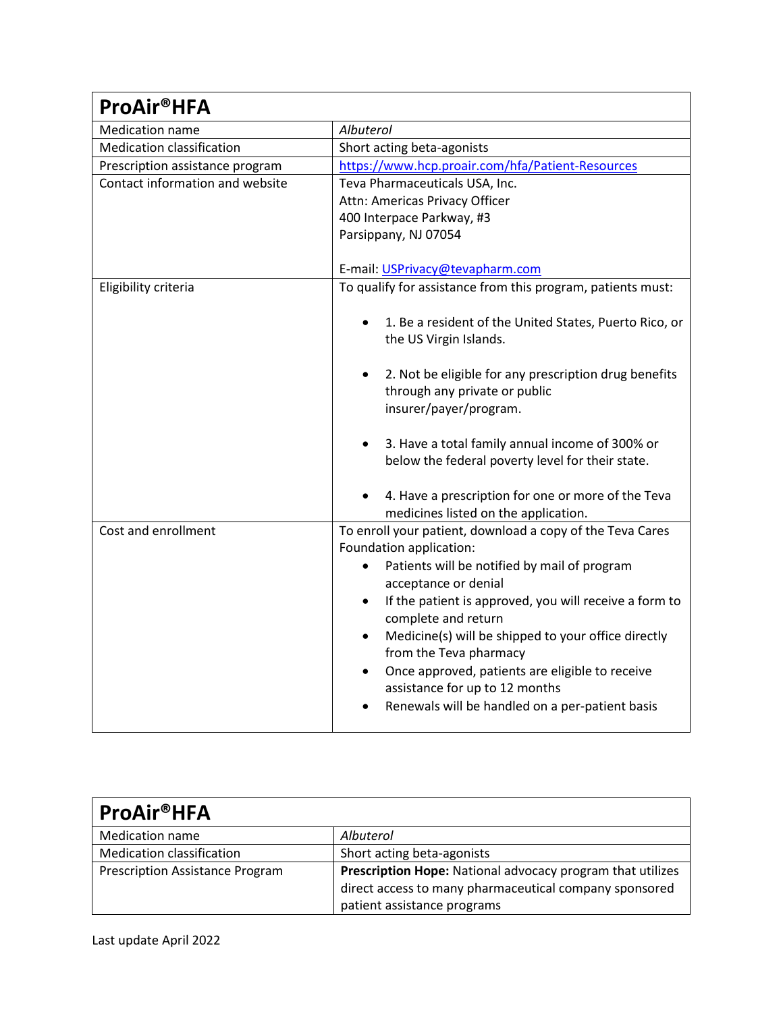| <b>ProAir®HFA</b>                |                                                                                                                  |
|----------------------------------|------------------------------------------------------------------------------------------------------------------|
| <b>Medication name</b>           | Albuterol                                                                                                        |
| <b>Medication classification</b> | Short acting beta-agonists                                                                                       |
| Prescription assistance program  | https://www.hcp.proair.com/hfa/Patient-Resources                                                                 |
| Contact information and website  | Teva Pharmaceuticals USA, Inc.                                                                                   |
|                                  | Attn: Americas Privacy Officer                                                                                   |
|                                  | 400 Interpace Parkway, #3                                                                                        |
|                                  | Parsippany, NJ 07054                                                                                             |
|                                  | E-mail: USPrivacy@tevapharm.com                                                                                  |
| Eligibility criteria             | To qualify for assistance from this program, patients must:                                                      |
|                                  | 1. Be a resident of the United States, Puerto Rico, or<br>the US Virgin Islands.                                 |
|                                  | 2. Not be eligible for any prescription drug benefits<br>through any private or public<br>insurer/payer/program. |
|                                  | 3. Have a total family annual income of 300% or<br>below the federal poverty level for their state.              |
|                                  | 4. Have a prescription for one or more of the Teva<br>medicines listed on the application.                       |
| Cost and enrollment              | To enroll your patient, download a copy of the Teva Cares<br>Foundation application:                             |
|                                  | Patients will be notified by mail of program<br>$\bullet$<br>acceptance or denial                                |
|                                  | If the patient is approved, you will receive a form to<br>complete and return                                    |
|                                  | Medicine(s) will be shipped to your office directly<br>from the Teva pharmacy                                    |
|                                  | Once approved, patients are eligible to receive                                                                  |
|                                  | assistance for up to 12 months                                                                                   |
|                                  | Renewals will be handled on a per-patient basis                                                                  |

| <b>ProAir®HFA</b>                      |                                                            |
|----------------------------------------|------------------------------------------------------------|
| Medication name                        | Albuterol                                                  |
| Medication classification              | Short acting beta-agonists                                 |
| <b>Prescription Assistance Program</b> | Prescription Hope: National advocacy program that utilizes |
|                                        | direct access to many pharmaceutical company sponsored     |
|                                        | patient assistance programs                                |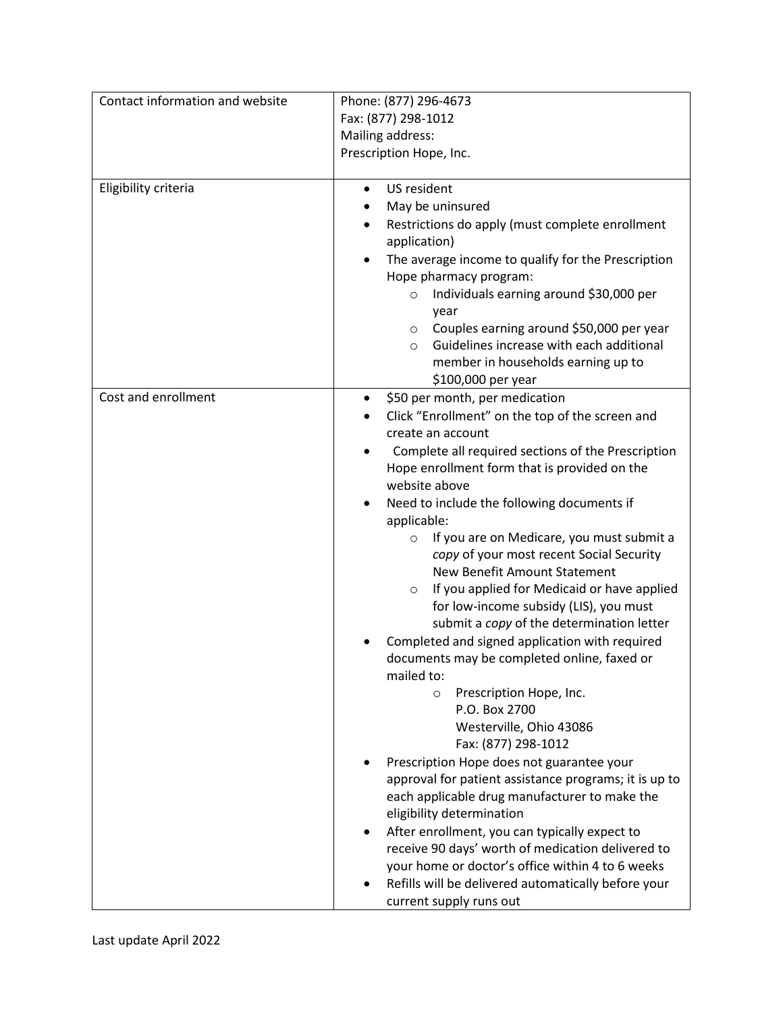| Contact information and website | Phone: (877) 296-4673<br>Fax: (877) 298-1012<br>Mailing address:<br>Prescription Hope, Inc.                                                                                                                                                                                                                                                                                                                                                                                                                                                                                                                                                                                                                                                                                                                                                                                                                                                                                                                                                                                                                                                                                                                                                  |
|---------------------------------|----------------------------------------------------------------------------------------------------------------------------------------------------------------------------------------------------------------------------------------------------------------------------------------------------------------------------------------------------------------------------------------------------------------------------------------------------------------------------------------------------------------------------------------------------------------------------------------------------------------------------------------------------------------------------------------------------------------------------------------------------------------------------------------------------------------------------------------------------------------------------------------------------------------------------------------------------------------------------------------------------------------------------------------------------------------------------------------------------------------------------------------------------------------------------------------------------------------------------------------------|
| Eligibility criteria            | US resident<br>$\bullet$<br>May be uninsured<br>Restrictions do apply (must complete enrollment<br>application)<br>The average income to qualify for the Prescription<br>Hope pharmacy program:<br>Individuals earning around \$30,000 per<br>$\circ$<br>year<br>Couples earning around \$50,000 per year<br>$\circ$<br>Guidelines increase with each additional<br>$\circ$<br>member in households earning up to<br>\$100,000 per year                                                                                                                                                                                                                                                                                                                                                                                                                                                                                                                                                                                                                                                                                                                                                                                                      |
| Cost and enrollment             | \$50 per month, per medication<br>٠<br>Click "Enrollment" on the top of the screen and<br>create an account<br>Complete all required sections of the Prescription<br>Hope enrollment form that is provided on the<br>website above<br>Need to include the following documents if<br>applicable:<br>If you are on Medicare, you must submit a<br>$\circ$<br>copy of your most recent Social Security<br>New Benefit Amount Statement<br>If you applied for Medicaid or have applied<br>$\circ$<br>for low-income subsidy (LIS), you must<br>submit a copy of the determination letter<br>Completed and signed application with required<br>documents may be completed online, faxed or<br>mailed to:<br>Prescription Hope, Inc.<br>$\circ$<br>P.O. Box 2700<br>Westerville, Ohio 43086<br>Fax: (877) 298-1012<br>Prescription Hope does not guarantee your<br>approval for patient assistance programs; it is up to<br>each applicable drug manufacturer to make the<br>eligibility determination<br>After enrollment, you can typically expect to<br>receive 90 days' worth of medication delivered to<br>your home or doctor's office within 4 to 6 weeks<br>Refills will be delivered automatically before your<br>current supply runs out |